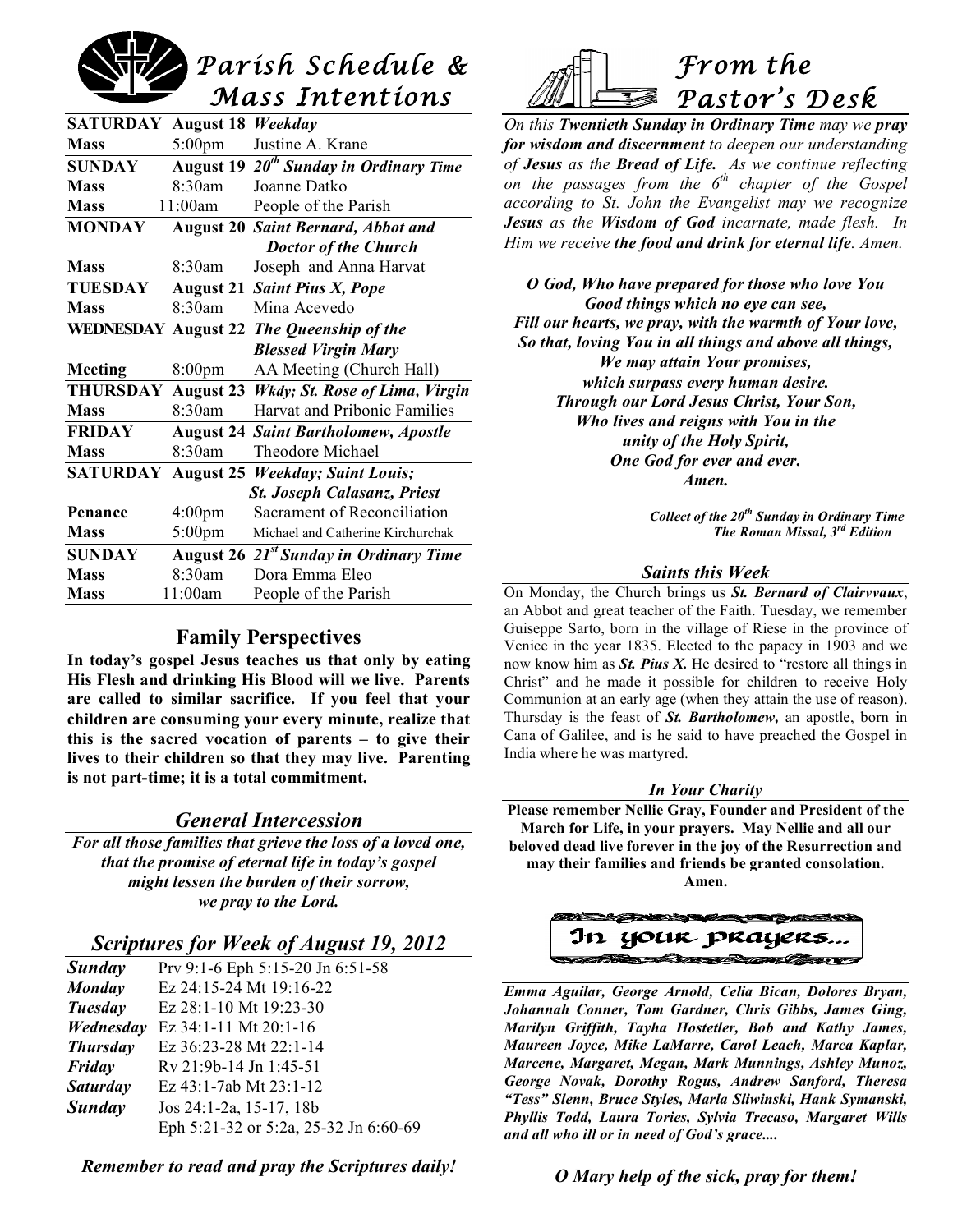

| <b>SATURDAY</b>            | <b>August 18</b>   | Weekday                                            |
|----------------------------|--------------------|----------------------------------------------------|
| <b>Mass</b>                | $5:00$ pm          | Justine A. Krane                                   |
| <b>SUNDAY</b>              | <b>August 19</b>   | $\overline{20^{th}}$ Sunday in Ordinary Time       |
| <b>Mass</b>                | 8:30am             | Joanne Datko                                       |
| <b>Mass</b>                | 11:00am            | People of the Parish                               |
| <b>MONDAY</b>              | <b>August 20</b>   | <b>Saint Bernard, Abbot and</b>                    |
|                            |                    | <b>Doctor of the Church</b>                        |
| <b>Mass</b>                | 8:30am             | Joseph and Anna Harvat                             |
| <b>TUESDAY</b>             |                    | <b>August 21 Saint Pius X, Pope</b>                |
| <b>Mass</b>                | 8:30am             | Mina Acevedo                                       |
| <b>WEDNESDAY August 22</b> |                    | The Queenship of the                               |
|                            |                    | <b>Blessed Virgin Mary</b>                         |
| Meeting                    | 8:00 <sub>pm</sub> | AA Meeting (Church Hall)                           |
| <b>THURSDAY</b>            | <b>August 23</b>   | Wkdy; St. Rose of Lima, Virgin                     |
| <b>Mass</b>                | $8.30$ am          | <b>Harvat and Pribonic Families</b>                |
| <b>FRIDAY</b>              |                    | <b>August 24 Saint Bartholomew, Apostle</b>        |
| <b>Mass</b>                | $8.30$ am          | Theodore Michael                                   |
| <b>SATURDAY</b>            | <b>August 25</b>   | <b>Weekday</b> ; Saint Louis;                      |
|                            |                    | <b>St. Joseph Calasanz, Priest</b>                 |
| Penance                    | 4:00 <sub>pm</sub> | Sacrament of Reconciliation                        |
| <b>Mass</b>                | $5:00$ pm          | Michael and Catherine Kirchurchak                  |
| <b>SUNDAY</b>              |                    | August 26 21 <sup>st</sup> Sunday in Ordinary Time |
| <b>Mass</b>                | 8:30am             | Dora Emma Eleo                                     |
| <b>Mass</b>                | 11:00am            | People of the Parish                               |

### **Family Perspectives**

**In today's gospel Jesus teaches us that only by eating His Flesh and drinking His Blood will we live. Parents are called to similar sacrifice. If you feel that your children are consuming your every minute, realize that this is the sacred vocation of parents – to give their lives to their children so that they may live. Parenting is not part-time; it is a total commitment.**

# *General Intercession*

*For all those families that grieve the loss of a loved one, that the promise of eternal life in today's gospel might lessen the burden of their sorrow, we pray to the Lord.*

# *Scriptures for Week of August 19, 2012*

| Sunday          | Prv 9:1-6 Eph 5:15-20 Jn 6:51-58      |
|-----------------|---------------------------------------|
| Monday          | Ez 24:15-24 Mt 19:16-22               |
| Tuesday         | Ez 28:1-10 Mt 19:23-30                |
| Wednesday       | Ez 34:1-11 Mt 20:1-16                 |
| <b>Thursday</b> | Ez 36:23-28 Mt 22:1-14                |
| Friday          | $Rv 21:9b-14$ Jn 1:45-51              |
| <b>Saturday</b> | Ez 43:1-7ab Mt 23:1-12                |
| Sunday          | Jos 24:1-2a, 15-17, 18b               |
|                 | Eph 5:21-32 or 5:2a, 25-32 Jn 6:60-69 |

*Remember to read and pray the Scriptures daily!*



*On this Twentieth Sunday in Ordinary Time may we pray for wisdom and discernment to deepen our understanding of Jesus as the Bread of Life. As we continue reflecting on the passages from the 6th chapter of the Gospel according to St. John the Evangelist may we recognize Jesus as the Wisdom of God incarnate, made flesh. In Him we receive the food and drink for eternal life. Amen.*

*O God, Who have prepared for those who love You Good things which no eye can see, Fill our hearts, we pray, with the warmth of Your love, So that, loving You in all things and above all things, We may attain Your promises, which surpass every human desire. Through our Lord Jesus Christ, Your Son, Who lives and reigns with You in the unity of the Holy Spirit, One God for ever and ever. Amen.*

> *Collect of the 20th Sunday in Ordinary Time The Roman Missal, 3rd Edition*

#### *Saints this Week*

On Monday, the Church brings us *St. Bernard of Clairvvaux*, an Abbot and great teacher of the Faith. Tuesday, we remember Guiseppe Sarto, born in the village of Riese in the province of Venice in the year 1835. Elected to the papacy in 1903 and we now know him as *St. Pius X.* He desired to "restore all things in Christ" and he made it possible for children to receive Holy Communion at an early age (when they attain the use of reason). Thursday is the feast of *St. Bartholomew,* an apostle, born in Cana of Galilee, and is he said to have preached the Gospel in India where he was martyred.

#### *In Your Charity*

**Please remember Nellie Gray, Founder and President of the March for Life, in your prayers. May Nellie and all our beloved dead live forever in the joy of the Resurrection and may their families and friends be granted consolation. Amen.**

In your prayers... Comment Comment

*Emma Aguilar, George Arnold, Celia Bican, Dolores Bryan, Johannah Conner, Tom Gardner, Chris Gibbs, James Ging, Marilyn Griffith, Tayha Hostetler, Bob and Kathy James, Maureen Joyce, Mike LaMarre, Carol Leach, Marca Kaplar, Marcene, Margaret, Megan, Mark Munnings, Ashley Munoz, George Novak, Dorothy Rogus, Andrew Sanford, Theresa "Tess" Slenn, Bruce Styles, Marla Sliwinski, Hank Symanski, Phyllis Todd, Laura Tories, Sylvia Trecaso, Margaret Wills and all who ill or in need of God's grace....*

*O Mary help of the sick, pray for them!*